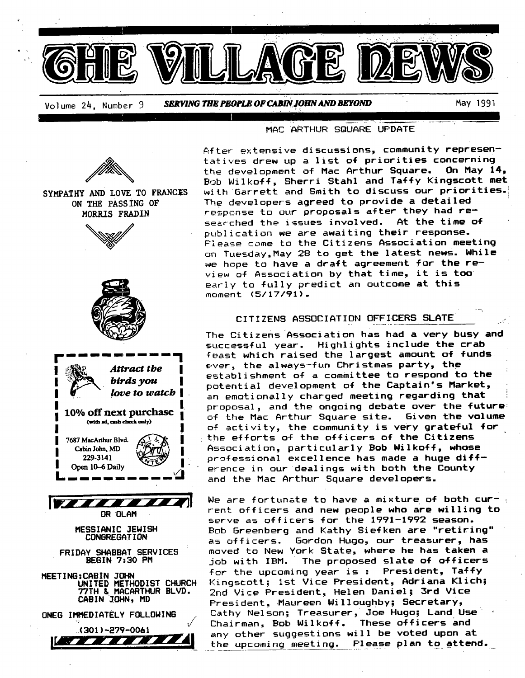

Volume 24, Number 9 *SERVING THE PEOPLE OF CABIN\$OHN AND BEFOND* May 1991

#### MAC "ARTHUR SQUARE UPDATE



Please come to the Citizens Association meeting on Tuesday,May 28 to get the latest news. While we hope to have a draft agreement for the review of Association by that time, it is too early to fully predict an outcome at this moment (5/17/91).

#### CITIZENS ASSOCIATION OFFICERS SLATE

The Citizens Association has had a very busy and successful year. Highlights include the crab feast which raised the largest amount of funds ever, the always-fun Christmas party, the establishment of a committee to respond to the potential development of the Captain's Market, an emotionally charged meeting regarding that proposal, and the ongoing debate over the future of the Mac Arthur Square site. Given the volume of activity, the community is very grateful for the efforts of the officers of the Citizens Association, particularly Bob Wilkoff, whose professional excellence has made a huge difference in our dealings with both the County and the Mac Arthur Square developers.

We are fortunate to have a mixture of both cur-  $\epsilon$ rent officers and new people who are willing to serve as officers for the 1991-1992 season. Bob 5reenberg and Kathy Siefken are "retiring" as officers. Gordon Hugo, our treasurer, has moved to New York State, where he has taken a job with IBM. The proposed slate of officers for the upcoming year is : President, Taffy Kingscott; 1st Vice President, Adriana Klich; 2nd Vice President, Helen Daniel; 3rd Vice President, Maureen Willoughby; Secretary, Cathy Nelson; Treasurer, Joe Hugo; Land Use' Chairman, Bob Wilkoff. These officers and  $\begin{array}{|c|c|c|c|c|c|}\hline \text{(3011--e/4=0061} \end{array}$  any other suggestions will be voted upon at  $\begin{array}{|c|c|c|c|c|c|}\hline \text{(3011--e/4=0061} \end{array}$ the upcoming meeting. Please plan to attend.



MORRIS FRADIN

**FRIDAY SHABBAT SERVICES BESIN 7:30 PM** 

**MEETINS:CABIN JOHN UNITED METHODIST CHURCH 7?TN L MACARTHUR BLVD.**  CABIN JOHN, MD

ONEG IMMEDIATELY FOLLOWING

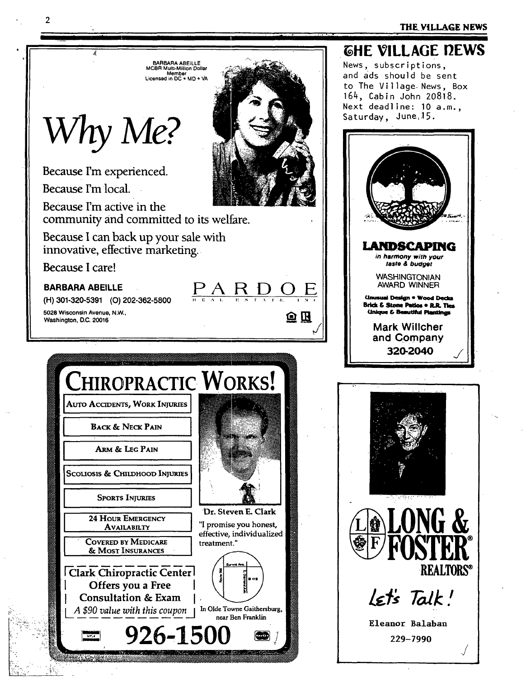#### THE VILLAGE NEWS



 $\mathbf{2}$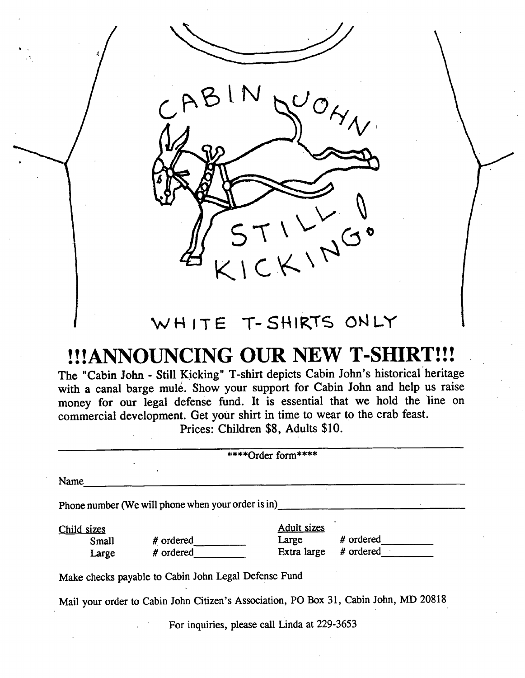$ABINQ'O,$ *c V.* 

## WHITE T-SHIRTS ONLY

# **!!!ANNOUNCING OUR NEW T-SHIRT!!!**

The "Cabin John - Still Kicking" T-shirt depicts Cabin John's historical'heritage with a canal barge mule. Show your support for Cabin John and help us raise money for our legal defense fund. It is essential that we hold the line on commercial development. Get your shirt in time to wear to the crab feast. Prices: Children \$8, Adults \$10.

| ****Order form****   |                                                      |                             |                                                                                      |  |  |  |
|----------------------|------------------------------------------------------|-----------------------------|--------------------------------------------------------------------------------------|--|--|--|
| Name                 |                                                      |                             |                                                                                      |  |  |  |
|                      | Phone number (We will phone when your order is in)   |                             |                                                                                      |  |  |  |
| Child sizes<br>Small | # ordered                                            | <b>Adult sizes</b><br>Large | # ordered                                                                            |  |  |  |
| Large                | # ordered                                            | Extra large                 | $#$ ordered $+$                                                                      |  |  |  |
|                      | Make checks payable to Cabin John Legal Defense Fund |                             |                                                                                      |  |  |  |
|                      |                                                      |                             | Mail your order to Cabin John Citizen's Association, PO Box 31, Cabin John, MD 20818 |  |  |  |

For inquiries, please call Linda at 229-3653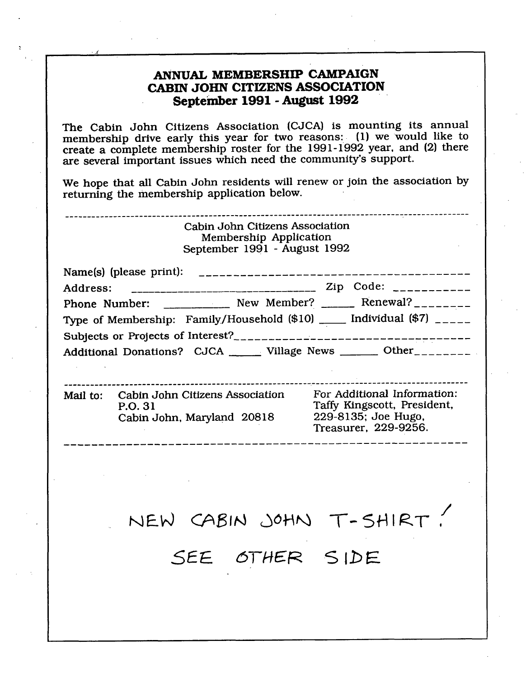## **ANNUAL MEMBERSHIP CAMPAIGN CABIN JOHN CITIZENS ASSOCIATION September 1991 -August 1992**

The Cabin John Citizens Association (CJCA) is mounting its annual membership drive early this year for two reasons: (1) we would like to create a complete membership roster for the 1991-1992 year, and (2) there are several important issues which need the community's support.

We hope that all Cabin John residents will renew or join the association by returning the membership application below.

Cabin John Citizens Association Membership Application

September 1991 -August 1992

| Name(s) (please print): |                                                                              |                         |
|-------------------------|------------------------------------------------------------------------------|-------------------------|
|                         |                                                                              | Zip Code: $\frac{1}{2}$ |
|                         | Phone Number: __________ New Member? _____ Renewal? _______                  |                         |
|                         | Type of Membership: Family/Household $(\$10)$ _____ Individual $(\$7)$ _____ |                         |
|                         | Subjects or Projects of Interest?                                            |                         |
|                         | Additional Donations? CJCA ______ Village News _______ Other________         |                         |

| Mail to: | Cabin John Citizens Association<br>P.O. 31<br>Cabin John, Maryland 20818 | For Additional Information:<br>Taffy Kingscott, President,<br>229-8135; Joe Hugo,<br>Treasurer, 229-9256. |
|----------|--------------------------------------------------------------------------|-----------------------------------------------------------------------------------------------------------|
|          |                                                                          |                                                                                                           |

SEE OTHER SIDE

/

 $T$ -SHIRT,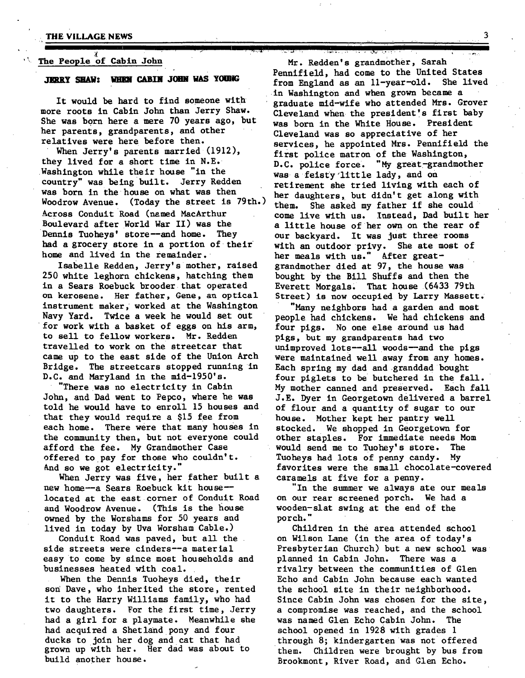#### **• THE VILLAGE.NEWS 3**

#### The People of Cabin John

#### **JERRY SHAW: WHEN CABIN JOHN WAS YOUNG**

It would be hard to find someone with more roots in Cabin John than Jerry Shaw. She was born here a mere 70 years ago, but her parents, grandparents, and other relatives were here before then.

When Jerry's parents married  $(1912)$ , they lived for a short time in N.E. Washington while their house "in the country" was being built. Jerry Redden was born in the house on what was then  $\frac{1}{2}$  her daughters, but didn't get along with Woodrow Avenue. (Today the street is 79th.) then she asked my father if she could Across Conduit Road (named MacArthur come live with us. Instead, Dad built her Boulevard after World War II) was the Dennis Tuoheys' store--and home. They had a grocery store in a portion of their home and lived in the remainder.

Isabelle Redden, Jerry's mother, raised 250 white leghorn chickens, hatching them in a Sears Roebuck brooder that operated on kerosene. Her father, Gene, an optical instrument maker, worked at the Washington Navy Yard. Twice a week he would set out for work with a basket of eggs on his arm, to sell to fellow workers. Mr. Redden travelled to work on the streetcar that came up to the east side of the Union Arch Bridge. The streetcars stopped running in D.C. and Maryland in the mid-1950's.

"There was no electricity in Cabin John, and Dad went to Pepco, where he was told he would have to enroll 15 houses and that they would require a \$15 fee from each home. There were that many houses in the community then, but not everyone could afford the fee. My Grandmother Case offered to pay for those who couldn't. .And so we got electricity."

When Jerry was five, her father built a new home--a Sears Roebuck kit houselocated at the east corner of Conduit Road and Woodrow Avenue. (This is the house owned by the Worshams for 50 years and lived in today by Uva Worsham Cable.)

Conduit Road was paved, but all the side streets were cinders--a material easy to come by since most households and businesses heated with coal.

When the Dennis Tuoheys died, their son Dave, who inherited the store, rented it to the Harry Williams family, who had two daughters. For the first time, Jerry had a girl for a playmate. Meanwhile she had acquired a Shetland pony and four ducks to join her dog and cat that had grown up with her. Her dad was about to build another house.

Mr. Redden's grandmother, Sarah Pennlfleld, had come to the United States from England as an ll-year-old. She lived in Washington and when grown became a graduate mid-wlfe who attended Mrs. Grover Cleveland when the president's first baby was born in the White House. President Cleveland was so appreciative of her services, he appointed Mrs. Pennlfield the first police matron of the Washington, D.C. police force. "My great-grandmother was a feisty little lady, and on retirement she tried living with each of them. She asked my father if she could a little house of her own on the rear of our backyard. It was just three rooms with an outdoor privy. She ate most of her meals with us." After greatgrandmother died at 97, the house was bought by the Bill Shuffs and then the Everett Morgals. That house (6433 79th Street) is now occupied by Larry Massett.

"Many neighbors had a garden and most people had chickens. We had chickens and four pigs. No one else around us had pigs, but my grandparents had two unimproved lots--all woods--and the pigs were maintained well away from any homes. Each spring my dad and granddad bought four piglets to be butchered in the fall. My mother canned and preserved. Each fall J.E. Dyer in Georgetown delivered a barrel of flour and a quantity of sugar to our house. Mother kept her pantry well stocked. We shopped in Georgetown for other staples. For immediate needs Mom would send me to Tuohey's store. The Tuoheys had lots of penny candy. My favorites were the small chocolate-covered caramels at five for a penny.

"In the summer we always ate our meals on our rear screened porch. We had a wooden-slat swing at the end of the porch."

Children in the area attended school on Wilson Lane (in the area of today's Presbyterian Church) but a new school was planned in Cabin John. There was a rivalry between the communities of Glen Echo and Cabin John because each wanted the school site in their neighborhood. Since Cabin John was chosen for the site, a compromise was reached, and the school was named Glen Echo Cabin John. The school opened in 1928 with grades i through 8; kindergarten was not offered them. Children were brought by bus from Brookmont, River Road, and Glen Echo.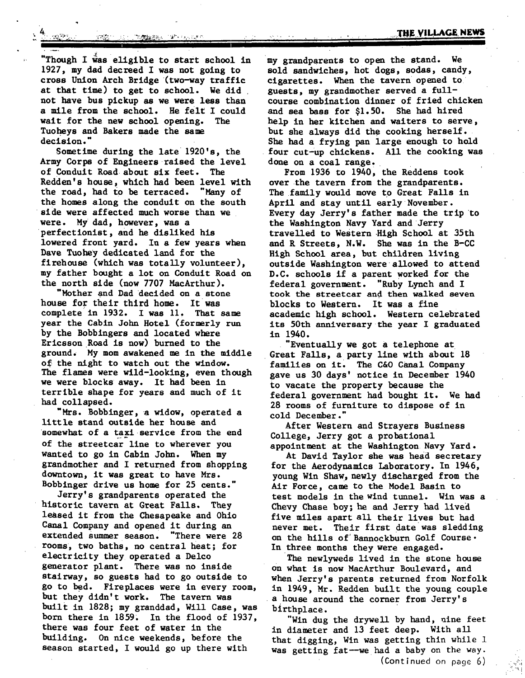**Ill** 

**.TUI[ y!LLAG[. NEWS** 

"Though I was eligible to start school in 1927, my dad decreed I was not going to cross Union Arch Bridge (two-way traffic at that time) to get to school. We did not have bus pickup as we were less than a mile from the school. He felt I could wait for the new school opening. The Tuoheys and Bakers made the same decision."

Sometime during the late 1920's, the Army Corps of Engineers raised the level of Conduit Road about six feet. The Redden's house, which had been level with the road, had to be terraced. "Many of the homes along the conduit on the south side were affected much worse than we were. My dad, however, was a perfectlonlst, and he disliked his lowered front yard. In a few years when Dave Tuohey dedicated land for the firehouse (which was totally volunteer), my father bought a lot on Conduit Road on the north side (now 7707 MacArthur).

"Mother and Dad decided on a stone house for their third home. It was complete in 1932. I was 11, That same year the Cabin John Hotel (formerly run by the Bobblngers and located where Ericsson Road is now) burned to the ground. My mom awakened me in the middle of the night to watch out the window. The flames were wild-looklng, even though we were blocks away. It had been in terrible shape for years and much of it had collapsed.

Mrs. Bobbinger, a widow, operated a little stand outside her house and somewhat of a taxi service from the end of the streetcar line to wherever you wanted to go in Cabin John. When my grandmother and I returned from shopping downtown, it was great to have Mrs. Bobblnger drive us home for 25 cents."

Jerry's grandparents operated the historic tavern at Great Falls. They leased it from the Chesapeake and Ohio Canal Company and opened it during an extended summer season. "There were 28 rooms, two baths, no central heat; for electricity they operated a Delco generator plant. There was no inside stairway, so guests had to go outside to go to bed. Fireplaces were in every room, but they didn't work. The tavern was built in 1828; my granddad, Will Case, was born there in 1859; In the flood of 1937, there was four feet of water in the building. On nice weekends, before the season started, I would go up there with

my grandparents to open the stand. We sold sandwiches, hot dogs, sodas, candy, cigarettes. When the tavern opened to guests, my grandmother served a fullcourse combination dinner of fried chicken and sea bass for \$1.50. She had hired help in her kitchen and waiters to serve, but she always did the cooking herself. She had a frying pan large enough to hold four cut-up chickens. All the cooking was done on a coal range.

**I I I** 

From 1936 to 1940, the Reddens took over the tavern from the grandparents. The family would move to Great Falls in April and stay until early November. Every day Jerry's father made the trip to the Washington Navy Yard and Jerry travelled to Western High School at 35th and R Streets, N.W. She was in the B-CC High School area, but children living outside Washington were allowed to attend D.C. schools if a parent worked for the federal government. "Ruby Lynch and I federal government. took the streetcar and then walked seven blocks to Western. It was a fine academic high school. Western celebrated its 50th anniversary the year I graduated in 1940.

"Eventually we got a telephone at Great Falls, a party line with about 18 families on it. The C&O Canal Company gave us 30 days' notice in December 1940 to vacate the property because the federal government had bought it. We had 28 rooms of furniture to dispose of in cold December."

After Western and Strayers Business College, Jerry got a probational appointment at the Washington Navy Yard.

At David Taylor she was head secretary for the Aerodynamics Laboratory. In 1946, young Win Shaw, newly discharged from the Air Force, came to the Model Basin to test models in the wind tunnel. Win was a Chevy Chase boy; he and Jerry had lived five miles apart all their lives but had never met. Their first date was sledding on the hills of Bannockburn Golf Course. In three months they were engaged.

The newlyweds lived in the stone house on what is now MacArthur Boulevard, and when Jerry's parents returned from Norfolk in 1949, Mr. Redden built the young couple a house around the corner from Jerry's birthplace.

"Win dug the drywell by hand, uine feet in diameter and 13 feet deep. With all that digging, Win was getting thin while 1 was getting fat--we had a baby on the way.  $(Continued on page 6)$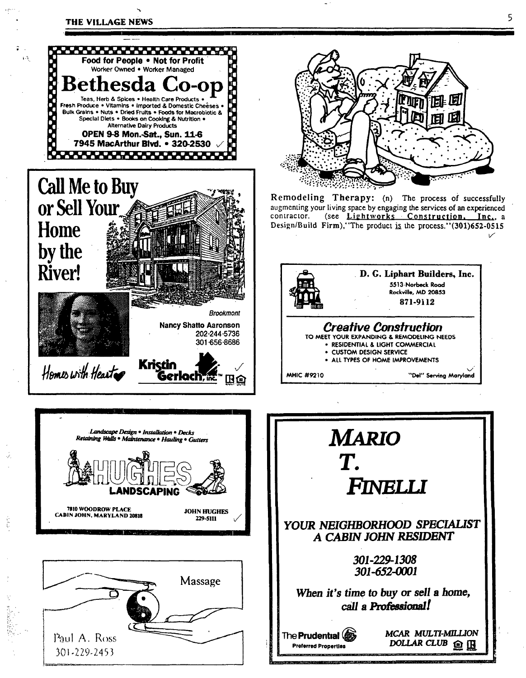

 $1.3$ 





**Kristin** 

202-244-5736 301-656-8686

œ

Gerloch <del>in</del>

Homes with Heart



Remodeling Therapy: (n) The process of successfully augmenting your living space by engaging the services of an experienced contractor. (see Lightworks Construction, <u>Inc.</u>, a Design/Build Firm), 'The product is the process.''(301)652-0515



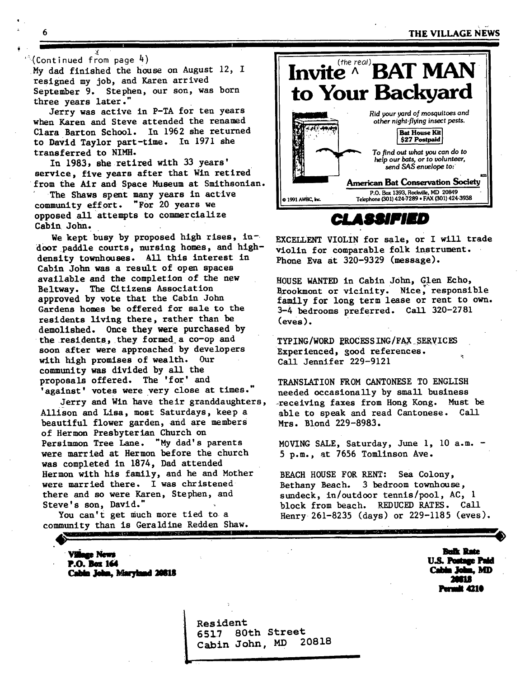**6 b a m b m c c c c c c c c f l c c f l c f l c f l** 

#### $\degree$ (Continued from page 4)

My dad finished the house on August 12, I resigned my job, and Karen arrived September 9. Stephen, our son, was born three years later."

ii

Jerry was active in P-TA for ten years when Karen and Steve attended the renamed Clara Barton School. In 1962 she returned to David Taylor part-time. In 1971 she transferred to NIMH.

In 1983, she retired with 33 years' service, five years after that Win retired from the Air and Space Museum at Smithsonian.

The Shaws spent many years in active community effort. "For 20 years we opposed all attempts to commercialize Cabin John.

We kept busy by proposed high rises, indoor paddle courts, nursing homes, and highdensity townhouses. All this interest in Cabin John was a result of open spaces available and the completion of the new Beltway. The Citizens Association approved by vote that the Cabin John Gardens homes be offered for sale to the residents living there, rather than be demolished. Once they were purchased by the residents, they formed a co-op and soon after were approached by developers with high promises of wealth. Our community was divided by all the proposals offered. The 'for' and 'against' votes were very close at times."

Jerry and Win have their granddaughters, Allison and Lisa, most Saturdays, keep a beautiful flower garden, and are members of Hermon Presbyterian Church on Persimmon Tree Lane. "My dad's parents were married at Hermon before the church was completed in 1874, Dad attended Hermon with his family, and he and Mother were married there. I was christened there and so were Karen, Stephen, and Steve's son, David."

You can't get much more tied to a community than is Geraldine Redden Shaw. a sta

> **Village News P.O. has 164**  Cabin John, Maryland 20818



**CLASSIFIED** 

EXCELLENT VIOLIN for sale, or I will trade Violin for Comparable folk instrument. Phone Eva at 320-9329 (message).

HOUSE WANTED in Cabin JOhn, Glen Echo, Brookmont or vicinity. Nice, responsible family for long term lease or rent to own. 3-4 bedrooms preferred. Call 320-2781 (eves).

TYPING/WORD RROCESS ING/FAX SERVICES Experienced, good references. Call Jennifer 229-9121

TRANSLATION FROM CANTONESE TO ENGLISH needed occasionally by small business receiving faxes from Hong Kong. Must be able to speak and read Cantonese. Call Mrs. Blond 229-8983.

MOVING SALE, Saturday, June i, I0 a.m. - 5 p.m., at 7656 Tomlinson Ave.

BEACH HOUSE FOR RENT: Sea Colony, Bethany Beach. 3 bedroom townhouse, sundeck, in/outdoor tennis/pool, AC, 1 block from beach. REDUCED RATES. Call Henry 261-8235 (days) or 229-1185 (eves).

> **Bulk Rate<br>U.S. Postage Paid** Cabin John, MD 41 **Po'oR 421@**

Resident 6517 Cabin John, 80th Street 20818